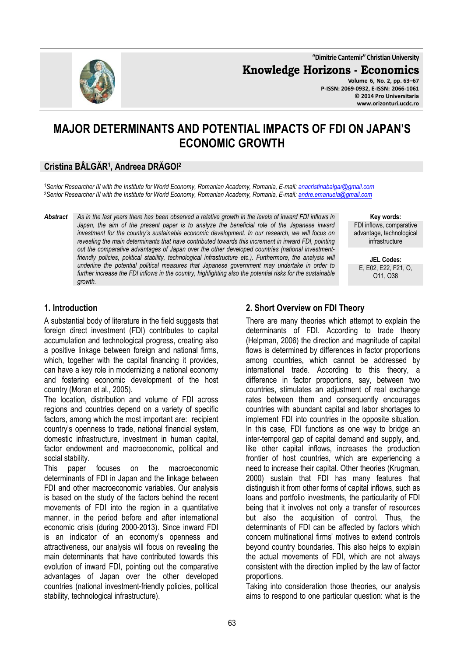**"Dimitrie Cantemir" Christian University**

**Knowledge Horizons - Economics**

**Volume 6, No. 2, pp. 63–67 P-ISSN: 2069-0932, E-ISSN: 2066-1061 © 2014 Pro Universitaria www.orizonturi.ucdc.ro**

# **MAJOR DETERMINANTS AND POTENTIAL IMPACTS OF FDI ON JAPAN'S ECONOMIC GROWTH**

# **Cristina BÂLGĂR<sup>1</sup> , Andreea DRĂGOI<sup>2</sup>**

<sup>1</sup>*Senior Researcher III with the Institute for World Economy, Romanian Academy, Romania, E-mail: anacristinabalgar@gmail.com* <sup>2</sup>*Senior Researcher III with the Institute for World Economy, Romanian Academy, Romania, E-mail: andre.emanuela@gmail.com*

*Abstract As in the last years there has been observed a relative growth in the levels of inward FDI inflows in*  Japan, the aim of the present paper is to analyze the beneficial role of the Japanese inward *investment for the country's sustainable economic development. In our research, we will focus on*  revealing the main determinants that have contributed towards this increment in inward FDI, pointing *out the comparative advantages of Japan over the other developed countries (national investmentfriendly policies, political stability, technological infrastructure etc.). Furthermore, the analysis will underline the potential political measures that Japanese government may undertake in order to further increase the FDI inflows in the country, highlighting also the potential risks for the sustainable growth.*

**Key words:** FDI inflows, comparative advantage, technological infrastructure

**JEL Codes:** E, E02, E22, F21, O, O11, O38

#### **1. Introduction**

A substantial body of literature in the field suggests that foreign direct investment (FDI) contributes to capital accumulation and technological progress, creating also a positive linkage between foreign and national firms, which, together with the capital financing it provides, can have a key role in modernizing a national economy and fostering economic development of the host country (Moran et al., 2005).

The location, distribution and volume of FDI across regions and countries depend on a variety of specific factors, among which the most important are: recipient country's openness to trade, national financial system, domestic infrastructure, investment in human capital, factor endowment and macroeconomic, political and social stability.

This paper focuses on the macroeconomic determinants of FDI in Japan and the linkage between FDI and other macroeconomic variables. Our analysis is based on the study of the factors behind the recent movements of FDI into the region in a quantitative manner, in the period before and after international economic crisis (during 2000-2013). Since inward FDI is an indicator of an economy's openness and attractiveness, our analysis will focus on revealing the main determinants that have contributed towards this evolution of inward FDI, pointing out the comparative advantages of Japan over the other developed countries (national investment-friendly policies, political stability, technological infrastructure).

## **2. Short Overview on FDI Theory**

There are many theories which attempt to explain the determinants of FDI. According to trade theory (Helpman, 2006) the direction and magnitude of capital flows is determined by differences in factor proportions among countries, which cannot be addressed by international trade. According to this theory, a difference in factor proportions, say, between two countries, stimulates an adjustment of real exchange rates between them and consequently encourages countries with abundant capital and labor shortages to implement FDI into countries in the opposite situation. In this case, FDI functions as one way to bridge an inter-temporal gap of capital demand and supply, and, like other capital inflows, increases the production frontier of host countries, which are experiencing a need to increase their capital. Other theories (Krugman, 2000) sustain that FDI has many features that distinguish it from other forms of capital inflows, such as loans and portfolio investments, the particularity of FDI being that it involves not only a transfer of resources but also the acquisition of control. Thus, the determinants of FDI can be affected by factors which concern multinational firms' motives to extend controls beyond country boundaries. This also helps to explain the actual movements of FDI, which are not always consistent with the direction implied by the law of factor proportions.

Taking into consideration those theories, our analysis aims to respond to one particular question: what is the

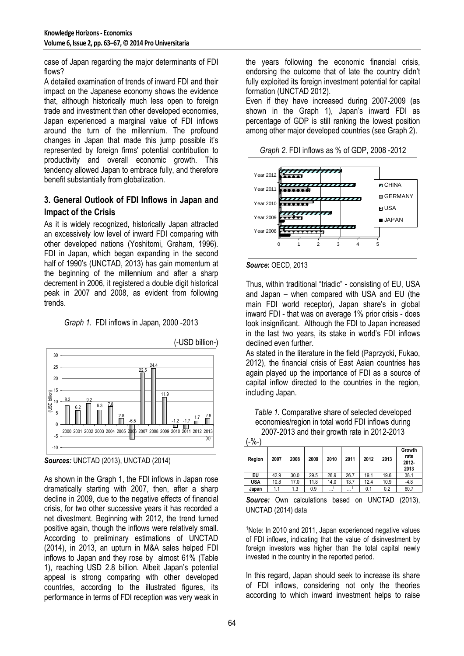case of Japan regarding the major determinants of FDI flows?

A detailed examination of trends of inward FDI and their impact on the Japanese economy shows the evidence that, although historically much less open to foreign trade and investment than other developed economies, Japan experienced a marginal value of FDI inflows around the turn of the millennium. The profound changes in Japan that made this jump possible it's represented by foreign firms' potential contribution to productivity and overall economic growth. This tendency allowed Japan to embrace fully, and therefore benefit substantially from globalization.

## **3. General Outlook of FDI Inflows in Japan and Impact of the Crisis**

As it is widely recognized, historically Japan attracted an excessively low level of inward FDI comparing with other developed nations (Yoshitomi, Graham, 1996). FDI in Japan, which began expanding in the second half of 1990's (UNCTAD, 2013) has gain momentum at the beginning of the millennium and after a sharp decrement in 2006, it registered a double digit historical peak in 2007 and 2008, as evident from following trends.





*Sources:* UNCTAD (2013), UNCTAD (2014)

As shown in the Graph 1, the FDI inflows in Japan rose dramatically starting with 2007, then, after a sharp decline in 2009, due to the negative effects of financial crisis, for two other successive years it has recorded a net divestment. Beginning with 2012, the trend turned positive again, though the inflows were relatively small. According to preliminary estimations of UNCTAD (2014), in 2013, an upturn in M&A sales helped FDI inflows to Japan and they rose by almost 61% (Table 1), reaching USD 2.8 billion. Albeit Japan's potential appeal is strong comparing with other developed countries, according to the illustrated figures, its performance in terms of FDI reception was very weak in

the years following the economic financial crisis, endorsing the outcome that of late the country didn't fully exploited its foreign investment potential for capital formation (UNCTAD 2012).

Even if they have increased during 2007-2009 (as shown in the Graph 1), Japan's inward FDI as percentage of GDP is still ranking the lowest position among other major developed countries (see Graph 2).

*Graph 2.* FDI inflows as % of GDP, 2008 -2012



*Source***:** OECD, 2013

Thus, within traditional "triadic" - consisting of EU, USA and Japan – when compared with USA and EU (the main FDI world receptor), Japan share's in global inward FDI - that was on average 1% prior crisis - does look insignificant. Although the FDI to Japan increased in the last two years, its stake in world's FDI inflows declined even further.

As stated in the literature in the field (Paprzycki, Fukao, 2012), the financial crisis of East Asian countries has again played up the importance of FDI as a source of capital inflow directed to the countries in the region, including Japan.

*Table 1.* Comparative share of selected developed economies/region in total world FDI inflows during 2007-2013 and their growth rate in 2012-2013

| -%-        |      |      |      |      |          |      |      |                                    |
|------------|------|------|------|------|----------|------|------|------------------------------------|
| Region     | 2007 | 2008 | 2009 | 2010 | 2011     | 2012 | 2013 | Growth<br>rate<br>$2012 -$<br>2013 |
| EU         | 42.9 | 30.0 | 29.5 | 26.9 | 26.7     | 19.1 | 19.6 | 38.1                               |
| <b>USA</b> | 10.8 | 17.0 | 11.8 | 14.0 | 13.7     | 12.4 | 10.9 | $-4.8$                             |
| Japan      | 1.1  | 1.3  | 0.9  |      | $\cdots$ | 0.1  | 0.2  | 60.7                               |

*Source:* Own calculations based on UNCTAD (2013), UNCTAD (2014) data

<sup>1</sup>Note: In 2010 and 2011, Japan experienced negative values of FDI inflows, indicating that the value of disinvestment by foreign investors was higher than the total capital newly invested in the country in the reported period.

In this regard, Japan should seek to increase its share of FDI inflows, considering not only the theories according to which inward investment helps to raise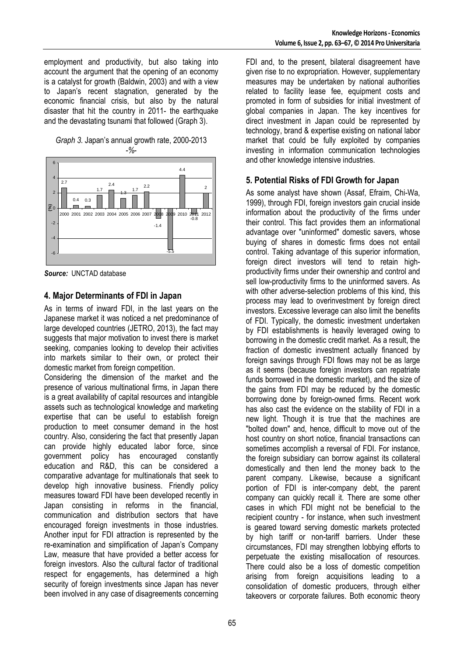employment and productivity, but also taking into account the argument that the opening of an economy is a catalyst for growth (Baldwin, 2003) and with a view to Japan's recent stagnation, generated by the economic financial crisis, but also by the natural disaster that hit the country in 2011- the earthquake and the devastating tsunami that followed (Graph 3).

*Graph 3.* Japan's annual growth rate, 2000-2013 *-%-* 



*Source:* UNCTAD database

#### **4. Major Determinants of FDI in Japan**

As in terms of inward FDI, in the last years on the Japanese market it was noticed a net predominance of large developed countries (JETRO, 2013), the fact may suggests that major motivation to invest there is market seeking, companies looking to develop their activities into markets similar to their own, or protect their domestic market from foreign competition.

Considering the dimension of the market and the presence of various multinational firms, in Japan there is a great availability of capital resources and intangible assets such as technological knowledge and marketing expertise that can be useful to establish foreign production to meet consumer demand in the host country. Also, considering the fact that presently Japan can provide highly educated labor force, since government policy has encouraged constantly education and R&D, this can be considered a comparative advantage for multinationals that seek to develop high innovative business. Friendly policy measures toward FDI have been developed recently in Japan consisting in reforms in the financial, communication and distribution sectors that have encouraged foreign investments in those industries. Another input for FDI attraction is represented by the re-examination and simplification of Japan's Company Law, measure that have provided a better access for foreign investors. Also the cultural factor of traditional respect for engagements, has determined a high security of foreign investments since Japan has never been involved in any case of disagreements concerning

FDI and, to the present, bilateral disagreement have given rise to no expropriation. However, supplementary measures may be undertaken by national authorities related to facility lease fee, equipment costs and promoted in form of subsidies for initial investment of global companies in Japan. The key incentives for direct investment in Japan could be represented by technology, brand & expertise existing on national labor market that could be fully exploited by companies investing in information communication technologies and other knowledge intensive industries.

#### **5. Potential Risks of FDI Growth for Japan**

As some analyst have shown (Assaf, Efraim, Chi-Wa, 1999), through FDI, foreign investors gain crucial inside information about the productivity of the firms under their control. This fact provides them an informational advantage over "uninformed" domestic savers, whose buying of shares in domestic firms does not entail control. Taking advantage of this superior information, foreign direct investors will tend to retain highproductivity firms under their ownership and control and sell low-productivity firms to the uninformed savers. As with other adverse-selection problems of this kind, this process may lead to overinvestment by foreign direct investors. Excessive leverage can also limit the benefits of FDI. Typically, the domestic investment undertaken by FDI establishments is heavily leveraged owing to borrowing in the domestic credit market. As a result, the fraction of domestic investment actually financed by foreign savings through FDI flows may not be as large as it seems (because foreign investors can repatriate funds borrowed in the domestic market), and the size of the gains from FDI may be reduced by the domestic borrowing done by foreign-owned firms. Recent work has also cast the evidence on the stability of FDI in a new light. Though it is true that the machines are "bolted down" and, hence, difficult to move out of the host country on short notice, financial transactions can sometimes accomplish a reversal of FDI. For instance, the foreign subsidiary can borrow against its collateral domestically and then lend the money back to the parent company. Likewise, because a significant portion of FDI is inter-company debt, the parent company can quickly recall it. There are some other cases in which FDI might not be beneficial to the recipient country - for instance, when such investment is geared toward serving domestic markets protected by high tariff or non-tariff barriers. Under these circumstances, FDI may strengthen lobbying efforts to perpetuate the existing misallocation of resources. There could also be a loss of domestic competition arising from foreign acquisitions leading to a consolidation of domestic producers, through either takeovers or corporate failures. Both economic theory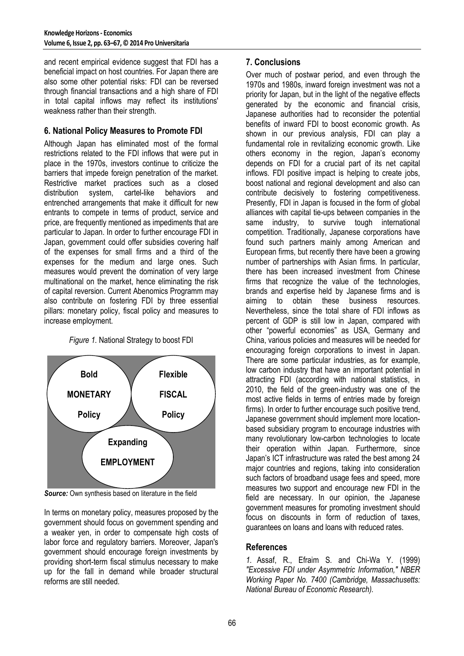and recent empirical evidence suggest that FDI has a beneficial impact on host countries. For Japan there are also some other potential risks: FDI can be reversed through financial transactions and a high share of FDI in total capital inflows may reflect its institutions' weakness rather than their strength.

#### **6. National Policy Measures to Promote FDI**

Although Japan has eliminated most of the formal restrictions related to the FDI inflows that were put in place in the 1970s, investors continue to criticize the barriers that impede foreign penetration of the market. Restrictive market practices such as a closed distribution system, cartel-like behaviors and entrenched arrangements that make it difficult for new entrants to compete in terms of product, service and price, are frequently mentioned as impediments that are particular to Japan. In order to further encourage FDI in Japan, government could offer subsidies covering half of the expenses for small firms and a third of the expenses for the medium and large ones. Such measures would prevent the domination of very large multinational on the market, hence eliminating the risk of capital reversion. Current Abenomics Programm may also contribute on fostering FDI by three essential pillars: monetary policy, fiscal policy and measures to increase employment.

*Figure 1.* National Strategy to boost FDI



*Source:* Own synthesis based on literature in the field

In terms on monetary policy, measures proposed by the government should focus on government spending and a weaker yen, in order to compensate high costs of labor force and regulatory barriers. Moreover, Japan's government should encourage foreign investments by providing short-term fiscal stimulus necessary to make up for the fall in demand while broader structural reforms are still needed.

# **7. Conclusions**

Over much of postwar period, and even through the 1970s and 1980s, inward foreign investment was not a priority for Japan, but in the light of the negative effects generated by the economic and financial crisis, Japanese authorities had to reconsider the potential benefits of inward FDI to boost economic growth. As shown in our previous analysis, FDI can play a fundamental role in revitalizing economic growth. Like others economy in the region, Japan's economy depends on FDI for a crucial part of its net capital inflows. FDI positive impact is helping to create jobs, boost national and regional development and also can contribute decisively to fostering competitiveness. Presently, FDI in Japan is focused in the form of global alliances with capital tie-ups between companies in the same industry, to survive tough international competition. Traditionally, Japanese corporations have found such partners mainly among American and European firms, but recently there have been a growing number of partnerships with Asian firms. In particular, there has been increased investment from Chinese firms that recognize the value of the technologies, brands and expertise held by Japanese firms and is aiming to obtain these business resources. Nevertheless, since the total share of FDI inflows as percent of GDP is still low in Japan, compared with other "powerful economies" as USA, Germany and China, various policies and measures will be needed for encouraging foreign corporations to invest in Japan. There are some particular industries, as for example, low carbon industry that have an important potential in attracting FDI (according with national statistics, in 2010, the field of the green-industry was one of the most active fields in terms of entries made by foreign firms). In order to further encourage such positive trend, Japanese government should implement more locationbased subsidiary program to encourage industries with many revolutionary low-carbon technologies to locate their operation within Japan. Furthermore, since Japan's ICT infrastructure was rated the best among 24 major countries and regions, taking into consideration such factors of broadband usage fees and speed, more measures two support and encourage new FDI in the field are necessary. In our opinion, the Japanese government measures for promoting investment should focus on discounts in form of reduction of taxes, guarantees on loans and loans with reduced rates.

#### **References**

*1.* Assaf, R., Efraim S. and Chi-Wa Y. (1999) *"Excessive FDI under Asymmetric Information," NBER Working Paper No. 7400 (Cambridge, Massachusetts: National Bureau of Economic Research).*